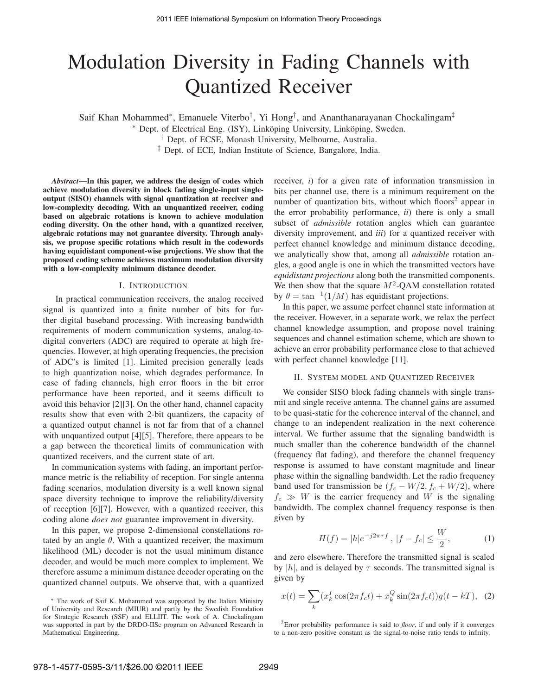# Modulation Diversity in Fading Channels with Quantized Receiver

Saif Khan Mohammed<sup>∗</sup>, Emanuele Viterbo<sup>†</sup>, Yi Hong<sup>†</sup>, and Ananthanarayanan Chockalingam<sup>‡</sup>

\* Dept. of Electrical Eng. (ISY), Linköping University, Linköping, Sweden.

† Dept. of ECSE, Monash University, Melbourne, Australia.

‡ Dept. of ECE, Indian Institute of Science, Bangalore, India.

*Abstract***—In this paper, we address the design of codes which achieve modulation diversity in block fading single-input singleoutput (SISO) channels with signal quantization at receiver and low-complexity decoding. With an unquantized receiver, coding based on algebraic rotations is known to achieve modulation coding diversity. On the other hand, with a quantized receiver, algebraic rotations may not guarantee diversity. Through analysis, we propose specific rotations which result in the codewords having equidistant component-wise projections. We show that the proposed coding scheme achieves maximum modulation diversity with a low-complexity minimum distance decoder.**

## I. INTRODUCTION

In practical communication receivers, the analog received signal is quantized into a finite number of bits for further digital baseband processing. With increasing bandwidth requirements of modern communication systems, analog-todigital converters (ADC) are required to operate at high frequencies. However, at high operating frequencies, the precision of ADC's is limited [1]. Limited precision generally leads to high quantization noise, which degrades performance. In case of fading channels, high error floors in the bit error performance have been reported, and it seems difficult to avoid this behavior [2][3]. On the other hand, channel capacity results show that even with 2-bit quantizers, the capacity of a quantized output channel is not far from that of a channel with unquantized output [4][5]. Therefore, there appears to be a gap between the theoretical limits of communication with quantized receivers, and the current state of art.

In communication systems with fading, an important performance metric is the reliability of reception. For single antenna fading scenarios, modulation diversity is a well known signal space diversity technique to improve the reliability/diversity of reception [6][7]. However, with a quantized receiver, this coding alone *does not* guarantee improvement in diversity.

In this paper, we propose 2-dimensional constellations rotated by an angle  $\theta$ . With a quantized receiver, the maximum likelihood (ML) decoder is not the usual minimum distance decoder, and would be much more complex to implement. We therefore assume a minimum distance decoder operating on the quantized channel outputs. We observe that, with a quantized receiver, *i*) for a given rate of information transmission in bits per channel use, there is a minimum requirement on the number of quantization bits, without which floors<sup>2</sup> appear in the error probability performance, *ii*) there is only a small subset of *admissible* rotation angles which can guarantee diversity improvement, and *iii*) for a quantized receiver with perfect channel knowledge and minimum distance decoding, we analytically show that, among all *admissible* rotation angles, a good angle is one in which the transmitted vectors have *equidistant projections* along both the transmitted components. We then show that the square  $M^2$ -QAM constellation rotated by  $\theta = \tan^{-1}(1/M)$  has equidistant projections.

In this paper, we assume perfect channel state information at the receiver. However, in a separate work, we relax the perfect channel knowledge assumption, and propose novel training sequences and channel estimation scheme, which are shown to achieve an error probability performance close to that achieved with perfect channel knowledge [11].

#### II. SYSTEM MODEL AND QUANTIZED RECEIVER

We consider SISO block fading channels with single transmit and single receive antenna. The channel gains are assumed to be quasi-static for the coherence interval of the channel, and change to an independent realization in the next coherence interval. We further assume that the signaling bandwidth is much smaller than the coherence bandwidth of the channel (frequency flat fading), and therefore the channel frequency response is assumed to have constant magnitude and linear phase within the signalling bandwidth. Let the radio frequency band used for transmission be  $(f_c - W/2, f_c + W/2)$ , where  $f_c \gg W$  is the carrier frequency and W is the signaling bandwidth. The complex channel frequency response is then given by

$$
H(f) = |h|e^{-j2\pi\tau f}, \ |f - f_c| \le \frac{W}{2}, \tag{1}
$$

and zero elsewhere. Therefore the transmitted signal is scaled by  $|h|$ , and is delayed by  $\tau$  seconds. The transmitted signal is given by

$$
x(t) = \sum_{k} (x_k^I \cos(2\pi f_c t) + x_k^Q \sin(2\pi f_c t)) g(t - kT), \tag{2}
$$

<sup>2</sup>Error probability performance is said to *floor*, if and only if it converges to a non-zero positive constant as the signal-to-noise ratio tends to infinity.

<sup>∗</sup> The work of Saif K. Mohammed was supported by the Italian Ministry of University and Research (MIUR) and partly by the Swedish Foundation for Strategic Research (SSF) and ELLIIT. The work of A. Chockalingam was supported in part by the DRDO-IISc program on Advanced Research in Mathematical Engineering.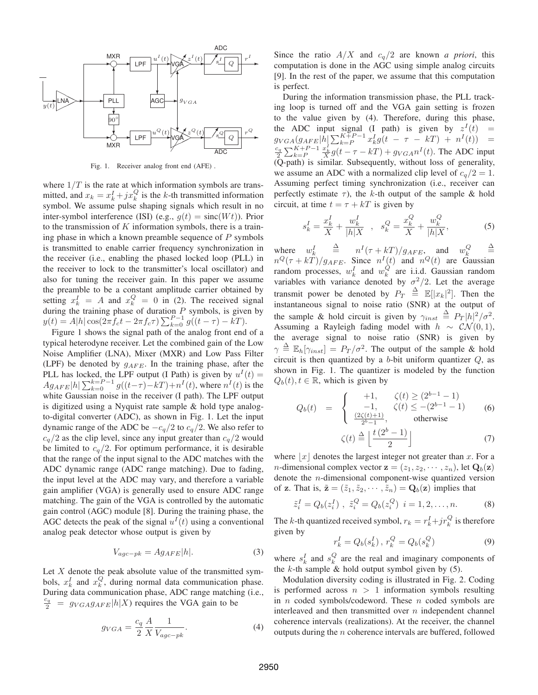

Fig. 1. Receiver analog front end (AFE) .

where  $1/T$  is the rate at which information symbols are transmitted, and  $x_k = x_k^I + jx_k^Q$  is the k-th transmitted information symbol. We assume pulse shaping signals which result in no inter-symbol interference (ISI) (e.g.,  $g(t) = \text{sinc}(Wt)$ ). Prior to the transmission of  $K$  information symbols, there is a training phase in which a known preamble sequence of  $P$  symbols is transmitted to enable carrier frequency synchronization in the receiver (i.e., enabling the phased locked loop (PLL) in the receiver to lock to the transmitter's local oscillator) and also for tuning the receiver gain. In this paper we assume the preamble to be a constant amplitude carrier obtained by setting  $x_k^I = A$  and  $x_k^Q = 0$  in (2). The received signal during the training phase of duration  $P$  symbols, is given by  $y(t) = A|h| \cos(2\pi f_c t - 2\pi f_c \tau) \sum_{k=0}^{P-1} g((t-\tau) - kT).$ 

Figure 1 shows the signal path of the analog front end of a typical heterodyne receiver. Let the combined gain of the Low Noise Amplifier (LNA), Mixer (MXR) and Low Pass Filter (LPF) be denoted by  $g_{AFE}$ . In the training phase, after the PLL has locked, the LPF output (I Path) is given by  $u<sup>I</sup>(t) =$  $Ag_{AFE} |h| \sum_{k=0}^{k=P-1} g((t-\tau)-kT)+n^{I}(t)$ , where  $n^{I}(t)$  is the white Gaussian noise in the receiver (I path). The LPF output is digitized using a Nyquist rate sample & hold type analogto-digital converter (ADC), as shown in Fig. 1. Let the input dynamic range of the ADC be  $-c_q/2$  to  $c_q/2$ . We also refer to  $c_q/2$  as the clip level, since any input greater than  $c_q/2$  would be limited to  $c_q/2$ . For optimum performance, it is desirable that the range of the input signal to the ADC matches with the ADC dynamic range (ADC range matching). Due to fading, the input level at the ADC may vary, and therefore a variable gain amplifier (VGA) is generally used to ensure ADC range matching. The gain of the VGA is controlled by the automatic gain control (AGC) module [8]. During the training phase, the AGC detects the peak of the signal  $u<sup>I</sup>(t)$  using a conventional analog peak detector whose output is given by

$$
V_{age-pk} = Ag_{AFE}|h|.
$$
 (3)

Let  $X$  denote the peak absolute value of the transmitted symbols,  $x_k^I$  and  $x_k^Q$ , during normal data communication phase. During data communication phase, ADC range matching (i.e.,  $\frac{c_q}{2}$  =  $g_{VGA}g_{AFE} |h|X$  requires the VGA gain to be

$$
g_{VGA} = \frac{c_q}{2} \frac{A}{X} \frac{1}{V_{age-pk}}.\tag{4}
$$

Since the ratio  $A/X$  and  $c_q/2$  are known *a priori*, this computation is done in the AGC using simple analog circuits [9]. In the rest of the paper, we assume that this computation is perfect.

During the information transmission phase, the PLL tracking loop is turned off and the VGA gain setting is frozen to the value given by (4). Therefore, during this phase, the ADC input signal (I path) is given by  $z<sup>I</sup>(t)$  =  $g_{VGA}(g_{AFE}|\vec{h}) \sum_{k=P}^{K+P-1} x_k^I g(t - \tau - kT) + n^I(t)) =$  $c_q$  $\frac{k_9}{2} \sum_{k=P}^{K+P-1}$  $\frac{x_k^t}{X}g(t-\tau-kT) + g_{VGA}n^I(t)$ . The ADC input (Q-path) is similar. Subsequently, without loss of generality, we assume an ADC with a normalized clip level of  $c_q/2 = 1$ . Assuming perfect timing synchronization (i.e., receiver can perfectly estimate  $\tau$ ), the k-th output of the sample & hold circuit, at time  $t = \tau + kT$  is given by

$$
s_k^I = \frac{x_k^I}{X} + \frac{w_k^I}{|h|X} \quad , \quad s_k^Q = \frac{x_k^Q}{X} + \frac{w_k^Q}{|h|X}, \tag{5}
$$

where  $w_k^I$   $\triangleq$   $n^I(\tau + kT)/g_{AFE}$ , and  $w_k^Q$   $\triangleq$  $n^Q(\tau + kT)/g_{AFE}$ . Since  $n^I(t)$  and  $n^Q(t)$  are Gaussian random processes,  $w_k^I$  and  $w_k^Q$  are i.i.d. Gaussian random variables with variance denoted by  $\sigma^2/2$ . Let the average transmit power be denoted by  $P_T \triangleq \mathbb{E}[|x_k|^2]$ . Then the instantaneous signal to noise ratio (SNR) at the output of the sample & hold circuit is given by  $\gamma_{inst} \triangleq P_T |h|^2 / \sigma^2$ . Assuming a Rayleigh fading model with  $h \sim \mathcal{CN}(0, 1)$ , the average signal to noise ratio (SNR) is given by  $\gamma \triangleq \mathbb{E}_h[\gamma_{inst}] = P_T/\sigma^2$ . The output of the sample & hold circuit is then quantized by a  $b$ -bit uniform quantizer  $Q$ , as shown in Fig. 1. The quantizer is modeled by the function  $Q_b(t)$ ,  $t \in \mathbb{R}$ , which is given by

$$
Q_b(t) = \begin{cases} +1, & \zeta(t) \ge (2^{b-1} - 1) \\ -1, & \zeta(t) \le -(2^{b-1} - 1) \\ \frac{(2\zeta(t)+1)}{2^b - 1}, & \text{otherwise} \end{cases}
$$
(6)  

$$
\zeta(t) \stackrel{\Delta}{=} \left\lfloor \frac{t(2^b - 1)}{2} \right\rfloor
$$
(7)

where  $|x|$  denotes the largest integer not greater than x. For a *n*-dimensional complex vector  $z = (z_1, z_2, \dots, z_n)$ , let  $Q_b(z)$ denote the n-dimensional component-wise quantized version of **z**. That is,  $\tilde{\mathbf{z}} = (\tilde{z}_1, \tilde{z}_2, \cdots, \tilde{z}_n) = \mathbf{Q}_b(\mathbf{z})$  implies that

$$
\tilde{z}_i^I = Q_b(z_i^I) , \ \tilde{z}_i^Q = Q_b(z_i^Q) \ \ i = 1, 2, \dots, n. \tag{8}
$$

The *k*-th quantized received symbol,  $r_k = r_k^I + jr_k^Q$  is therefore given by

$$
r_k^I = Q_b(s_k^I), \, r_k^Q = Q_b(s_k^Q) \tag{9}
$$

where  $s_k^I$  and  $s_k^Q$  are the real and imaginary components of the  $k$ -th sample  $\&$  hold output symbol given by (5).

Modulation diversity coding is illustrated in Fig. 2. Coding is performed across  $n > 1$  information symbols resulting in  $n$  coded symbols/codeword. These  $n$  coded symbols are interleaved and then transmitted over  $n$  independent channel coherence intervals (realizations). At the receiver, the channel outputs during the  $n$  coherence intervals are buffered, followed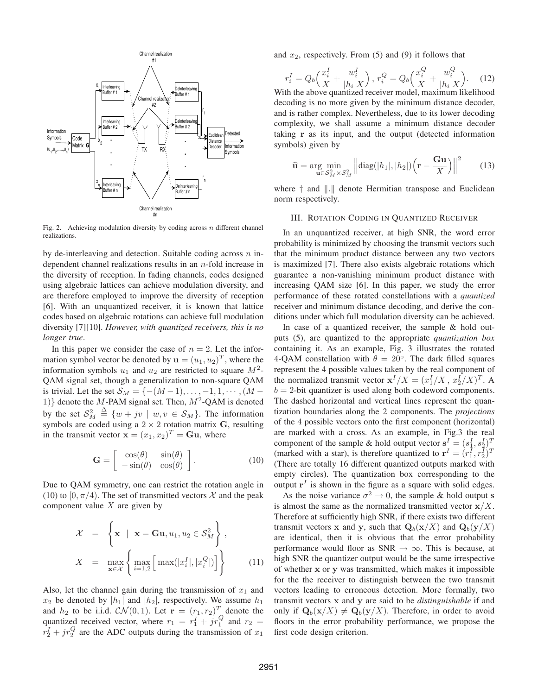

Fig. 2. Achieving modulation diversity by coding across  $n$  different channel realizations.

by de-interleaving and detection. Suitable coding across  $n$  independent channel realizations results in an n-fold increase in the diversity of reception. In fading channels, codes designed using algebraic lattices can achieve modulation diversity, and are therefore employed to improve the diversity of reception [6]. With an unquantized receiver, it is known that lattice codes based on algebraic rotations can achieve full modulation diversity [7][10]. *However, with quantized receivers, this is no longer true*.

In this paper we consider the case of  $n = 2$ . Let the information symbol vector be denoted by  $\mathbf{u} = (u_1, u_2)^T$ , where the information symbols  $u_1$  and  $u_2$  are restricted to square  $M^2$ -QAM signal set, though a generalization to non-square QAM is trivial. Let the set  $S_M = \{-(M-1), \ldots, -1, 1, \cdots, (M -$ 1)} denote the M-PAM signal set. Then,  $M^2$ -QAM is denoted by the set  $S_M^2 \triangleq \{w + jv \mid w, v \in S_M\}$ . The information symbols are coded using a  $2 \times 2$  rotation matrix G, resulting in the transmit vector  $\mathbf{x} = (x_1, x_2)^T = \mathbf{G}\mathbf{u}$ , where

$$
\mathbf{G} = \begin{bmatrix} \cos(\theta) & \sin(\theta) \\ -\sin(\theta) & \cos(\theta) \end{bmatrix}.
$$
 (10)

Due to QAM symmetry, one can restrict the rotation angle in (10) to  $[0, \pi/4)$ . The set of transmitted vectors X and the peak component value  $X$  are given by

$$
\mathcal{X} = \left\{ \mathbf{x} \mid \mathbf{x} = \mathbf{G}\mathbf{u}, u_1, u_2 \in \mathcal{S}_M^2 \right\},
$$
  

$$
X = \max_{\mathbf{x} \in \mathcal{X}} \left\{ \max_{i=1,2} \left[ \max(|x_i^I|, |x_i^Q|) \right] \right\}
$$
(11)

Also, let the channel gain during the transmission of  $x_1$  and  $x_2$  be denoted by  $|h_1|$  and  $|h_2|$ , respectively. We assume  $h_1$ and  $h_2$  to be i.i.d.  $\mathcal{CN}(0,1)$ . Let  $\mathbf{r} = (r_1, r_2)^T$  denote the quantized received vector, where  $r_1 = r_1^I + jr_1^Q$  and  $r_2 =$  $r_2^I + j r_2^Q$  are the ADC outputs during the transmission of  $x_1$ 

and  $x_2$ , respectively. From (5) and (9) it follows that

$$
r_i^I = Q_b \Big(\frac{x_i^I}{X} + \frac{w_i^I}{|h_i|X}\Big) \,,\ r_i^Q = Q_b \Big(\frac{x_i^Q}{X} + \frac{w_i^Q}{|h_i|X}\Big). \tag{12}
$$

With the above quantized receiver model, maximum likelihood decoding is no more given by the minimum distance decoder, and is rather complex. Nevertheless, due to its lower decoding complexity, we shall assume a minimum distance decoder taking r as its input, and the output (detected information symbols) given by

$$
\widehat{\mathbf{u}} = \underset{\mathbf{u} \in \mathcal{S}_M^2}{\arg \min} \left\| \text{diag}(|h_1|, |h_2|) \left( \mathbf{r} - \frac{\mathbf{G}\mathbf{u}}{X} \right) \right\|^2 \tag{13}
$$

where  $\dagger$  and  $\Vert . \Vert$  denote Hermitian transpose and Euclidean norm respectively.

## III. ROTATION CODING IN QUANTIZED RECEIVER

In an unquantized receiver, at high SNR, the word error probability is minimized by choosing the transmit vectors such that the minimum product distance between any two vectors is maximized [7]. There also exists algebraic rotations which guarantee a non-vanishing minimum product distance with increasing QAM size [6]. In this paper, we study the error performance of these rotated constellations with a *quantized* receiver and minimum distance decoding, and derive the conditions under which full modulation diversity can be achieved.

In case of a quantized receiver, the sample & hold outputs (5), are quantized to the appropriate *quantization box* containing it. As an example, Fig. 3 illustrates the rotated 4-QAM constellation with  $\theta = 20^\circ$ . The dark filled squares represent the 4 possible values taken by the real component of the normalized transmit vector  $\mathbf{x}^{I}/X = (x_1^{I}/X, x_2^{I}/X)^{T}$ . A  $b = 2$ -bit quantizer is used along both codeword components. The dashed horizontal and vertical lines represent the quantization boundaries along the 2 components. The *projections* of the 4 possible vectors onto the first component (horizontal) are marked with a cross. As an example, in Fig.3 the real component of the sample & hold output vector  $\mathbf{s}^I = (s_1^I, s_2^I)^T$ (marked with a star), is therefore quantized to  $\mathbf{r}^I = (r_1^I, r_2^I)^T$ (There are totally 16 different quantized outputs marked with empty circles). The quantization box corresponding to the output  $r<sup>I</sup>$  is shown in the figure as a square with solid edges.

As the noise variance  $\sigma^2 \to 0$ , the sample & hold output s is almost the same as the normalized transmitted vector  $x/X$ . Therefore at sufficiently high SNR, if there exists two different transmit vectors x and y, such that  $Q_b(x/X)$  and  $Q_b(y/X)$ are identical, then it is obvious that the error probability performance would floor as SNR  $\rightarrow \infty$ . This is because, at high SNR the quantizer output would be the same irrespective of whether x or y was transmitted, which makes it impossible for the the receiver to distinguish between the two transmit vectors leading to erroneous detection. More formally, two transmit vectors x and y are said to be *distinguishable* if and only if  $\mathbf{Q}_b(\mathbf{x}/X) \neq \mathbf{Q}_b(\mathbf{y}/X)$ . Therefore, in order to avoid floors in the error probability performance, we propose the first code design criterion.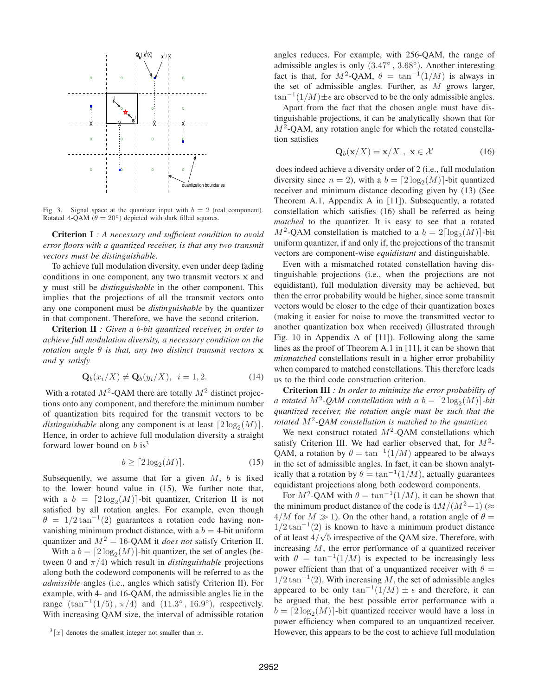

Fig. 3. Signal space at the quantizer input with  $b = 2$  (real component). Rotated 4-QAM ( $\theta = 20^{\circ}$ ) depicted with dark filled squares.

**Criterion I** *: A necessary and sufficient condition to avoid error floors with a quantized receiver, is that any two transmit vectors must be distinguishable.*

To achieve full modulation diversity, even under deep fading conditions in one component, any two transmit vectors x and y must still be *distinguishable* in the other component. This implies that the projections of all the transmit vectors onto any one component must be *distinguishable* by the quantizer in that component. Therefore, we have the second criterion.

**Criterion II** *: Given a* b*-bit quantized receiver, in order to achieve full modulation diversity, a necessary condition on the rotation angle* θ *is that, any two distinct transmit vectors* x *and* y *satisfy*

$$
\mathbf{Q}_b(x_i/X) \neq \mathbf{Q}_b(y_i/X), \ \ i = 1, 2. \tag{14}
$$

With a rotated  $M^2$ -QAM there are totally  $M^2$  distinct projections onto any component, and therefore the minimum number of quantization bits required for the transmit vectors to be *distinguishable* along any component is at least  $\lceil 2 \log_2(M) \rceil$ . Hence, in order to achieve full modulation diversity a straight forward lower bound on  $b$  is<sup>3</sup>

$$
b \ge \lceil 2\log_2(M) \rceil. \tag{15}
$$

Subsequently, we assume that for a given  $M$ ,  $b$  is fixed to the lower bound value in (15). We further note that, with a  $b = \left[2 \log_2(M)\right]$ -bit quantizer, Criterion II is not satisfied by all rotation angles. For example, even though  $\theta = 1/2 \tan^{-1}(2)$  guarantees a rotation code having nonvanishing minimum product distance, with a  $b = 4$ -bit uniform quantizer and  $M^2 = 16$ -QAM it *does not* satisfy Criterion II.

With a  $b = \lceil 2 \log_2(M) \rceil$ -bit quantizer, the set of angles (between 0 and  $\pi/4$ ) which result in *distinguishable* projections along both the codeword components will be referred to as the *admissible* angles (i.e., angles which satisfy Criterion II). For example, with 4- and 16-QAM, the admissible angles lie in the range  $(\tan^{-1}(1/5), \pi/4)$  and  $(11.3^{\circ}, 16.9^{\circ})$ , respectively. With increasing QAM size, the interval of admissible rotation

angles reduces. For example, with 256-QAM, the range of admissible angles is only  $(3.47°, 3.68°)$ . Another interesting fact is that, for  $M^2$ -QAM,  $\theta = \tan^{-1}(1/M)$  is always in the set of admissible angles. Further, as  $M$  grows larger,  $\tan^{-1}(1/M) \pm \epsilon$  are observed to be the only admissible angles.

Apart from the fact that the chosen angle must have distinguishable projections, it can be analytically shown that for  $M^2$ -QAM, any rotation angle for which the rotated constellation satisfies

$$
\mathbf{Q}_b(\mathbf{x}/X) = \mathbf{x}/X, \ \mathbf{x} \in \mathcal{X} \tag{16}
$$

does indeed achieve a diversity order of 2 (i.e., full modulation diversity since  $n = 2$ ), with a  $b = \lceil 2 \log_2(M) \rceil$ -bit quantized receiver and minimum distance decoding given by (13) (See Theorem A.1, Appendix A in [11]). Subsequently, a rotated constellation which satisfies (16) shall be referred as being *matched* to the quantizer. It is easy to see that a rotated  $M^2$ -QAM constellation is matched to a  $b = 2\lceil \log_2(M) \rceil$ -bit uniform quantizer, if and only if, the projections of the transmit vectors are component-wise *equidistant* and distinguishable.

Even with a mismatched rotated constellation having distinguishable projections (i.e., when the projections are not equidistant), full modulation diversity may be achieved, but then the error probability would be higher, since some transmit vectors would be closer to the edge of their quantization boxes (making it easier for noise to move the transmitted vector to another quantization box when received) (illustrated through Fig. 10 in Appendix A of [11]). Following along the same lines as the proof of Theorem A.1 in [11], it can be shown that *mismatched* constellations result in a higher error probability when compared to matched constellations. This therefore leads us to the third code construction criterion.

**Criterion III** *: In order to minimize the error probability of a* rotated  $M^2$ -QAM constellation with a  $b = \lceil 2 \log_2(M) \rceil$ -bit *quantized receiver, the rotation angle must be such that the rotated* M<sup>2</sup> *-QAM constellation is matched to the quantizer.*

We next construct rotated  $M^2$ -QAM constellations which satisfy Criterion III. We had earlier observed that, for  $M^2$ -QAM, a rotation by  $\theta = \tan^{-1}(1/M)$  appeared to be always in the set of admissible angles. In fact, it can be shown analytically that a rotation by  $\theta = \tan^{-1}(1/M)$ , actually guarantees equidistant projections along both codeword components.

For  $M^2$ -QAM with  $\theta = \tan^{-1}(1/M)$ , it can be shown that the minimum product distance of the code is  $4M/(M^2+1)$  ( $\approx$  $4/M$  for  $M \gg 1$ ). On the other hand, a rotation angle of  $\theta =$  $1/2 \tan^{-1}(2)$  is known to have a minimum product distance of at least  $4/\sqrt{5}$  irrespective of the QAM size. Therefore, with increasing M, the error performance of a quantized receiver with  $\theta = \tan^{-1}(1/M)$  is expected to be increasingly less power efficient than that of a unquantized receiver with  $\theta =$  $1/2 \tan^{-1}(2)$ . With increasing M, the set of admissible angles appeared to be only  $\tan^{-1}(1/M) \pm \epsilon$  and therefore, it can be argued that, the best possible error performance with a  $b = \lceil 2 \log_2(M) \rceil$ -bit quantized receiver would have a loss in power efficiency when compared to an unquantized receiver. However, this appears to be the cost to achieve full modulation

 $\sqrt[3]{x}$  denotes the smallest integer not smaller than x.